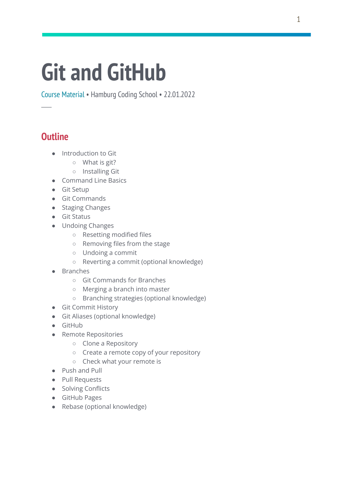# **Git and GitHub**

Course Material • Hamburg Coding School • 22.01.2022

## **Outline**

─

- Introduction to Git
	- What is git?
	- Installing Git
- Command Line Basics
- Git Setup
- Git Commands
- Staging Changes
- Git Status
- Undoing Changes
	- Resetting modified files
	- Removing files from the stage
	- Undoing a commit
	- Reverting a commit (optional knowledge)
- Branches
	- Git Commands for Branches
	- Merging a branch into master
	- Branching strategies (optional knowledge)
- Git Commit History
- Git Aliases (optional knowledge)
- GitHub
- Remote Repositories
	- Clone a Repository
	- Create a remote copy of your repository
	- Check what your remote is
- Push and Pull
- Pull Requests
- Solving Conflicts
- GitHub Pages
- Rebase (optional knowledge)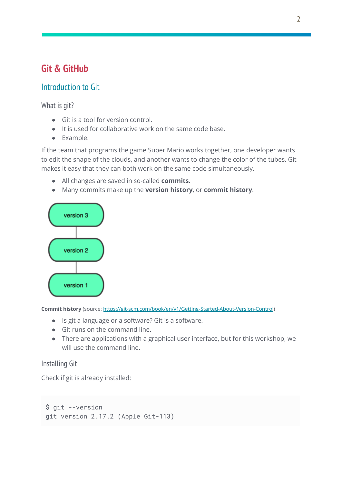# **Git & GitHub**

## Introduction to Git

What is git?

- Git is a tool for version control.
- It is used for collaborative work on the same code base.
- Example:

If the team that programs the game Super Mario works together, one developer wants to edit the shape of the clouds, and another wants to change the color of the tubes. Git makes it easy that they can both work on the same code simultaneously.

- All changes are saved in so-called **commits**.
- Many commits make up the **version history**, or **commit history**.



**Commit history** (source: [https://git-scm.com/book/en/v1/Getting-Started-About-Version-Control\)](https://git-scm.com/book/en/v1/Getting-Started-About-Version-Control)

- Is git a language or a software? Git is a software.
- Git runs on the command line.
- There are applications with a graphical user interface, but for this workshop, we will use the command line.

## Installing Git

Check if git is already installed:

```
$ git --version
git version 2.17.2 (Apple Git-113)
```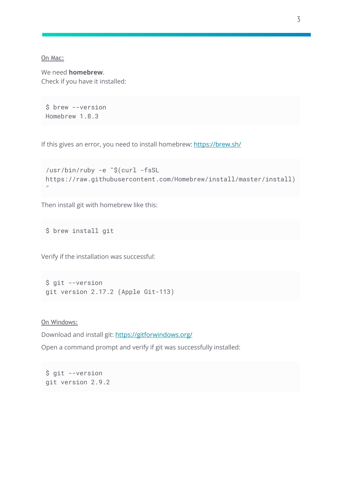On Mac:

We need **homebrew**. Check if you have it installed:

```
$ brew --version
Homebrew 1.8.3
```
If this gives an error, you need to install homebrew: <https://brew.sh/>

```
/usr/bin/ruby -e "$(curl -fsSL
https://raw.githubusercontent.com/Homebrew/install/master/install)
\bar{\rm H}
```
Then install git with homebrew like this:

\$ brew install git

Verify if the installation was successful:

```
$ git --version
git version 2.17.2 (Apple Git-113)
```
On Windows:

Download and install git: <https://gitforwindows.org/>

Open a command prompt and verify if git was successfully installed:

\$ git --version git version 2.9.2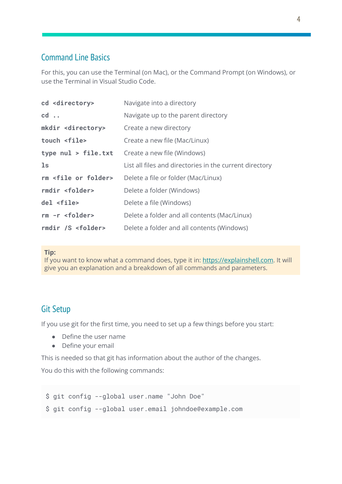## Command Line Basics

For this, you can use the Terminal (on Mac), or the Command Prompt (on Windows), or use the Terminal in Visual Studio Code.

| cd <directory></directory>       | Navigate into a directory                               |
|----------------------------------|---------------------------------------------------------|
| $cd \ldots$                      | Navigate up to the parent directory                     |
| mkdir <directory></directory>    | Create a new directory                                  |
| touch <file></file>              | Create a new file (Mac/Linux)                           |
| type nul > file.txt              | Create a new file (Windows)                             |
| $\mathsf{ls}$                    | List all files and directories in the current directory |
| rm <file folder="" or=""></file> | Delete a file or folder (Mac/Linux)                     |
| rmdir <folder></folder>          | Delete a folder (Windows)                               |
| del <file></file>                | Delete a file (Windows)                                 |
| $rm -r$ <folder></folder>        | Delete a folder and all contents (Mac/Linux)            |
| rmdir /S <folder></folder>       | Delete a folder and all contents (Windows)              |

#### **Tip:**

If you want to know what a command does, type it in: [https://explainshell.com.](https://explainshell.com/) It will give you an explanation and a breakdown of all commands and parameters.

## Git Setup

If you use git for the first time, you need to set up a few things before you start:

- Define the user name
- Define your email

This is needed so that git has information about the author of the changes.

You do this with the following commands:

```
$ git config --global user.name "John Doe"
$ git config --global user.email johndoe@example.com
```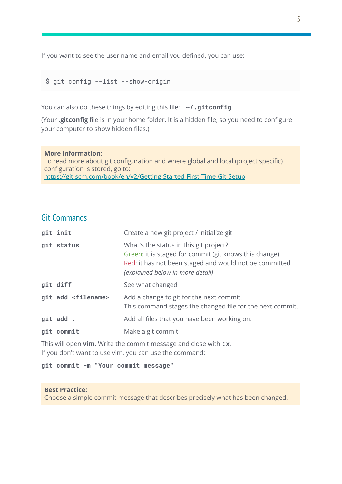If you want to see the user name and email you defined, you can use:

\$ git config --list --show-origin

You can also do these things by editing this file: **~/.gitconfig**

(Your **.gitconfig** file is in your home folder. It is a hidden file, so you need to configure your computer to show hidden files.)

#### **More information:**

To read more about git configuration and where global and local (project specific) configuration is stored, go to: <https://git-scm.com/book/en/v2/Getting-Started-First-Time-Git-Setup>

## Git Commands

| git init                      | Create a new git project / initialize git                                                                                                                                                      |
|-------------------------------|------------------------------------------------------------------------------------------------------------------------------------------------------------------------------------------------|
| git status                    | What's the status in this git project?<br>Green: it is staged for commit (git knows this change)<br>Red: it has not been staged and would not be committed<br>(explained below in more detail) |
| git diff                      | See what changed                                                                                                                                                                               |
| git add <filename></filename> | Add a change to git for the next commit.<br>This command stages the changed file for the next commit.                                                                                          |
| git add.                      | Add all files that you have been working on.                                                                                                                                                   |
| git commit                    | Make a git commit                                                                                                                                                                              |

This will open **vim**. Write the commit message and close with **:x**. If you don't want to use vim, you can use the command:

**git commit -m "Your commit message"**

#### **Best Practice:**

Choose a simple commit message that describes precisely what has been changed.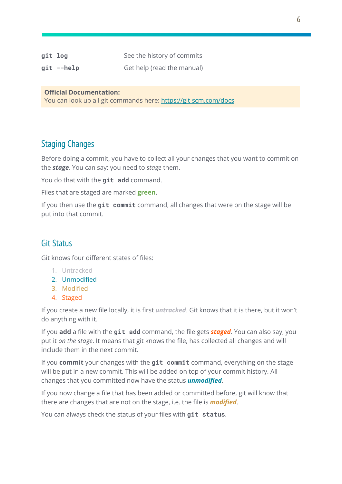| git log    | See the history of commits |
|------------|----------------------------|
| git --help | Get help (read the manual) |

#### **Official Documentation:**

You can look up all git commands here: <https://git-scm.com/docs>

## Staging Changes

Before doing a commit, you have to collect all your changes that you want to commit on the *stage*. You can say: you need to *stage* them.

You do that with the **git add** command.

Files that are staged are marked **green**.

If you then use the **git commit** command, all changes that were on the stage will be put into that commit.

## Git Status

Git knows four different states of files:

- 1. Untracked
- 2. Unmodified
- 3. Modified
- 4. Staged

If you create a new file locally, it is first *untracked*. Git knows that it is there, but it won't do anything with it.

If you **add** a file with the **git add** command, the file gets *staged*. You can also say, you put it *on the stage*. It means that git knows the file, has collected all changes and will include them in the next commit.

If you **commit** your changes with the **git commit** command, everything on the stage will be put in a new commit. This will be added on top of your commit history. All changes that you committed now have the status *unmodified*.

If you now change a file that has been added or committed before, git will know that there are changes that are not on the stage, i.e. the file is *modified*.

You can always check the status of your files with **git status**.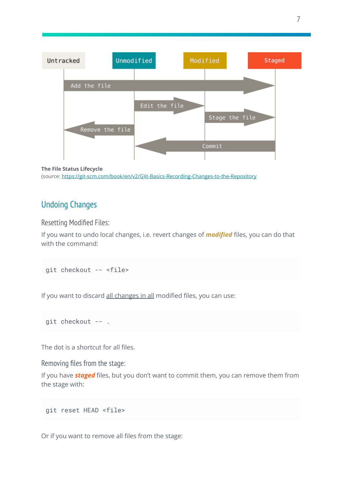

```
The File Status Lifecycle
(source: https://git-scm.com/book/en/v2/G)it-Basics-Recording-Changes-to-the-Repository
```
## Undoing Changes

Resetting Modified Files:

If you want to undo local changes, i.e. revert changes of *modified* files, you can do that with the command:

```
git checkout -- <file>
```
If you want to discard all changes in all modified files, you can use:

```
git checkout -- .
```
The dot is a shortcut for all files.

Removing files from the stage:

If you have *staged* files, but you don't want to commit them, you can remove them from the stage with:

```
git reset HEAD <file>
```
Or if you want to remove all files from the stage: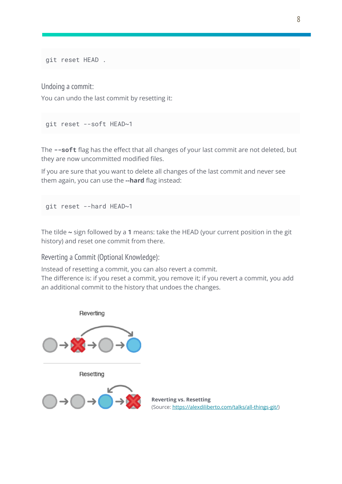git reset HEAD .

Undoing a commit:

You can undo the last commit by resetting it:

```
git reset --soft HEAD~1
```
The **--soft** flag has the effect that all changes of your last commit are not deleted, but they are now uncommitted modified files.

If you are sure that you want to delete all changes of the last commit and never see them again, you can use the **--hard** flag instead:

```
git reset --hard HEAD~1
```
The tilde **~** sign followed by a **1** means: take the HEAD (your current position in the git history) and reset one commit from there.

Reverting a Commit (Optional Knowledge):

Instead of resetting a commit, you can also revert a commit.

The difference is: if you reset a commit, you remove it; if you revert a commit, you add an additional commit to the history that undoes the changes.



**Reverting vs. Resetting** (Source: [https://alexdiliberto.com/talks/all-things-git/\)](https://alexdiliberto.com/talks/all-things-git/)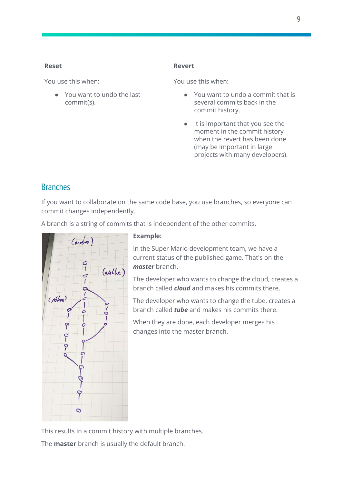#### **Reset**

You use this when:

● You want to undo the last commit(s).

#### **Revert**

You use this when:

- You want to undo a commit that is several commits back in the commit history.
- It is important that you see the moment in the commit history when the revert has been done (may be important in large projects with many developers).

## **Branches**

If you want to collaborate on the same code base, you use branches, so everyone can commit changes independently.

A branch is a string of commits that is independent of the other commits.



#### **Example:**

In the Super Mario development team, we have a current status of the published game. That's on the *master* branch.

The developer who wants to change the cloud, creates a branch called *cloud* and makes his commits there.

The developer who wants to change the tube, creates a branch called *tube* and makes his commits there.

When they are done, each developer merges his changes into the master branch.

This results in a commit history with multiple branches. The **master** branch is usually the default branch.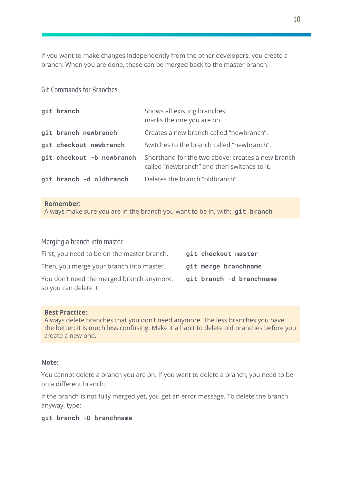If you want to make changes independently from the other developers, you create a branch. When you are done, these can be merged back to the master branch.

#### Git Commands for Branches

| git branch                | Shows all existing branches,<br>marks the one you are on.                                        |
|---------------------------|--------------------------------------------------------------------------------------------------|
| git branch newbranch      | Creates a new branch called "newbranch".                                                         |
| git checkout newbranch    | Switches to the branch called "newbranch".                                                       |
| git checkout -b newbranch | Shorthand for the two above: creates a new branch<br>called "newbranch" and then switches to it. |
| git branch -d oldbranch   | Deletes the branch "oldbranch".                                                                  |

#### **Remember:**

Always make sure you are in the branch you want to be in, with: **git branch**

## Merging a branch into master First, you need to be on the master branch. **git checkout master** Then, you merge your branch into master. **git merge branchname** You don't need the merged branch anymore, **git branch -d branchname** so you can delete it.

#### **Best Practice:**

Always delete branches that you don't need anymore. The less branches you have, the better: it is much less confusing. Make it a habit to delete old branches before you create a new one.

#### **Note:**

You cannot delete a branch you are on. If you want to delete a branch, you need to be on a different branch.

If the branch is not fully merged yet, you get an error message. To delete the branch anyway, type:

#### **git branch -D branchname**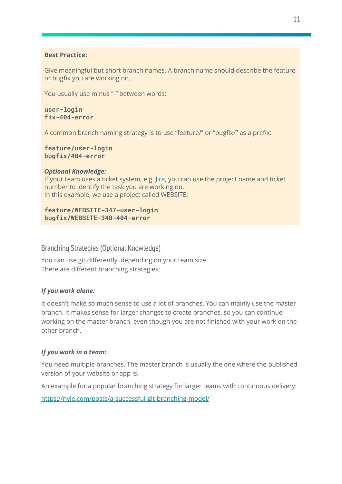#### **Best Practice:**

Give meaningful but short branch names. A branch name should describe the feature or bugfix you are working on.

You usually use minus "-" between words:

**user-login fix-404-error**

A common branch naming strategy is to use "feature/" or "bugfix/" as a prefix:

```
feature/user-login
bugfix/404-error
```
#### *Optional Knowledge:*

If your team uses a ticket system, e.g. *[Jira](https://www.atlassian.com/software/jira)*, you can use the project name and ticket number to identify the task you are working on. In this example, we use a project called WEBSITE:

**feature/WEBSITE-347-user-login bugfix/WEBSITE-348-404-error**

#### Branching Strategies (Optional Knowledge)

You can use git differently, depending on your team size. There are different branching strategies:

#### *If you work alone:*

It doesn't make so much sense to use a lot of branches. You can mainly use the master branch. It makes sense for larger changes to create branches, so you can continue working on the master branch, even though you are not finished with your work on the other branch.

#### *If you work in a team:*

You need multiple branches. The master branch is usually the one where the published version of your website or app is.

An example for a popular branching strategy for larger teams with continuous delivery:

<https://nvie.com/posts/a-successful-git-branching-model/>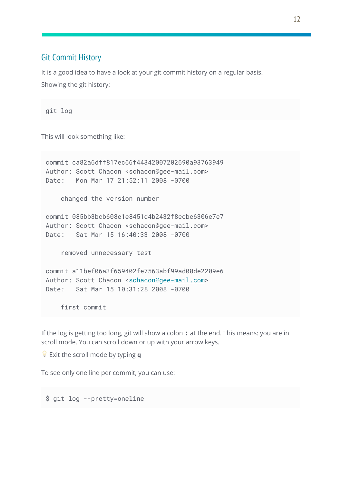## Git Commit History

It is a good idea to have a look at your git commit history on a regular basis. Showing the git history:

git log

This will look something like:

```
commit ca82a6dff817ec66f44342007202690a93763949
Author: Scott Chacon <schacon@gee-mail.com>
Date: Mon Mar 17 21:52:11 2008 -0700
   changed the version number
commit 085bb3bcb608e1e8451d4b2432f8ecbe6306e7e7
Author: Scott Chacon <schacon@gee-mail.com>
Date: Sat Mar 15 16:40:33 2008 -0700
   removed unnecessary test
commit a11bef06a3f659402fe7563abf99ad00de2209e6
schacon@gee-mail.com>
Date: Sat Mar 15 10:31:28 2008 -0700
   first commit
```
If the log is getting too long, git will show a colon **:** at the end. This means: you are in scroll mode. You can scroll down or up with your arrow keys.

Exit the scroll mode by typing **q**

To see only one line per commit, you can use:

\$ git log --pretty=oneline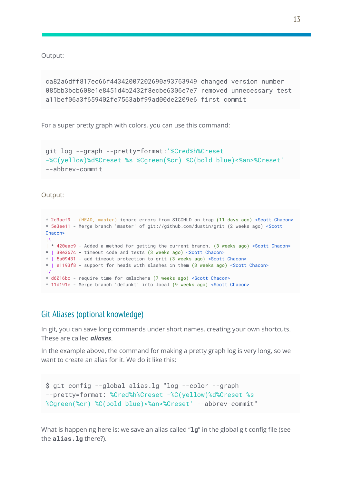Output:

```
ca82a6dff817ec66f44342007202690a93763949 changed version number
085bb3bcb608e1e8451d4b2432f8ecbe6306e7e7 removed unnecessary test
a11bef06a3f659402fe7563abf99ad00de2209e6 first commit
```
For a super pretty graph with colors, you can use this command:

```
git log --graph --pretty=format:'%Cred%h%Creset
-%C(yellow)%d%Creset %s %Cgreen(%cr) %C(bold blue)<%an>%Creset'
--abbrev-commit
```
Output:

```
* 2d3acf9 - (HEAD, master) ignore errors from SIGCHLD on trap (11 days ago) <Scott Chacon>
* 5e3ee11 - Merge branch 'master' of git://github.com/dustin/grit (2 weeks ago) <Scott
Chacon>
|\
| * 420eac9 - Added a method for getting the current branch. (3 weeks ago) <Scott Chacon>
* | 30e367c - timeout code and tests (3 weeks ago) <Scott Chacon>
* | 5a09431 - add timeout protection to grit (3 weeks ago) <Scott Chacon>
* | e1193f8 - support for heads with slashes in them (3 weeks ago) <Scott Chacon>
|/* d6016bc - require time for xmlschema (7 weeks ago) <Scott Chacon>
* 11d191e - Merge branch 'defunkt' into local (9 weeks ago) <Scott Chacon>
```
## Git Aliases (optional knowledge)

In git, you can save long commands under short names, creating your own shortcuts. These are called *aliases*.

In the example above, the command for making a pretty graph log is very long, so we want to create an alias for it. We do it like this:

```
$ git config --global alias.lg "log --color --graph
--pretty=format:'%Cred%h%Creset -%C(yellow)%d%Creset %s
%Cgreen(%cr) %C(bold blue)<%an>%Creset' --abbrev-commit"
```
What is happening here is: we save an alias called "**lg**" in the global git config file (see the **alias.lg** there?).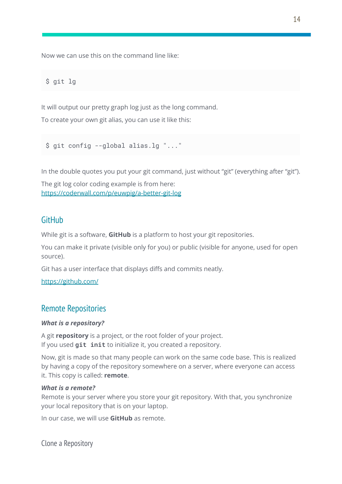Now we can use this on the command line like:

\$ git lg

It will output our pretty graph log just as the long command. To create your own git alias, you can use it like this:

\$ git config --global alias.lg "..."

In the double quotes you put your git command, just without "git" (everything after "git").

The git log color coding example is from here: <https://coderwall.com/p/euwpig/a-better-git-log>

## GitHub

While git is a software, **GitHub** is a platform to host your git repositories.

You can make it private (visible only for you) or public (visible for anyone, used for open source).

Git has a user interface that displays diffs and commits neatly.

<https://github.com/>

## Remote Repositories

#### *What is a repository?*

A git **repository** is a project, or the root folder of your project. If you used **git init** to initialize it, you created a repository.

Now, git is made so that many people can work on the same code base. This is realized by having a copy of the repository somewhere on a server, where everyone can access it. This copy is called: **remote**.

#### *What is a remote?*

Remote is your server where you store your git repository. With that, you synchronize your local repository that is on your laptop.

In our case, we will use **GitHub** as remote.

Clone a Repository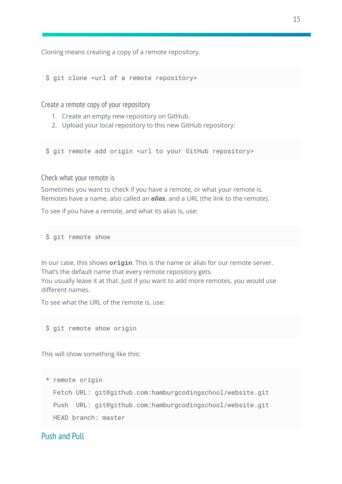Cloning means creating a copy of a remote repository.

\$ git clone <url of a remote repository>

Create a remote copy of your repository

- 1. Create an empty new repository on GitHub.
- 2. Upload your local repository to this new GitHub repository:

\$ git remote add origin <url to your GitHub repository>

Check what your remote is

Sometimes you want to check if you have a remote, or what your remote is. Remotes have a name, also called an *alias*, and a URL (the link to the remote).

To see if you have a remote, and what its alias is, use:

\$ git remote show

In our case, this shows **origin**. This is the name or alias for our remote server. That's the default name that every remote repository gets.

You usually leave it at that. Just if you want to add more remotes, you would use different names.

To see what the URL of the remote is, use:

\$ git remote show origin

This will show something like this:

```
* remote origin
```
Fetch URL: git@github.com:hamburgcodingschool/website.git Push URL: git@github.com:hamburgcodingschool/website.git HEAD branch: master

## Push and Pull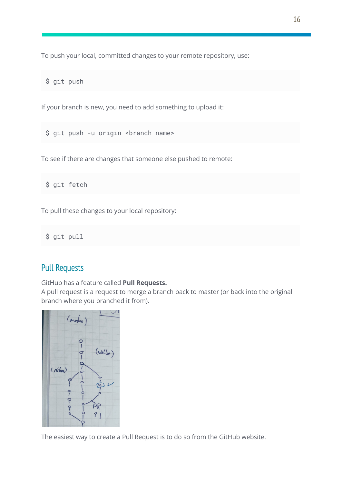To push your local, committed changes to your remote repository, use:

\$ git push

If your branch is new, you need to add something to upload it:

\$ git push -u origin <br />branch name>

To see if there are changes that someone else pushed to remote:

\$ git fetch

To pull these changes to your local repository:

\$ git pull

## Pull Requests

GitHub has a feature called **Pull Requests.**

A pull request is a request to merge a branch back to master (or back into the original branch where you branched it from).



The easiest way to create a Pull Request is to do so from the GitHub website.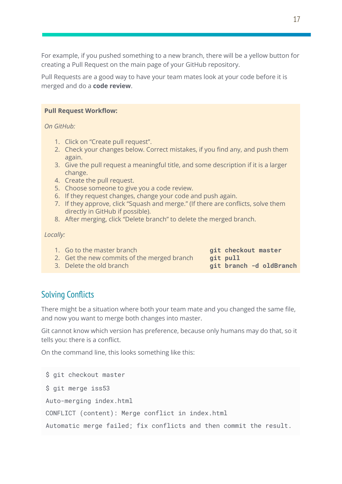For example, if you pushed something to a new branch, there will be a yellow button for creating a Pull Request on the main page of your GitHub repository.

Pull Requests are a good way to have your team mates look at your code before it is merged and do a **code review**.

#### **Pull Request Workflow:**

*On GitHub:*

- 1. Click on "Create pull request".
- 2. Check your changes below. Correct mistakes, if you find any, and push them again.
- 3. Give the pull request a meaningful title, and some description if it is a larger change.
- 4. Create the pull request.
- 5. Choose someone to give you a code review.
- 6. If they request changes, change your code and push again.
- 7. If they approve, click "Squash and merge." (If there are conflicts, solve them directly in GitHub if possible).
- 8. After merging, click "Delete branch" to delete the merged branch.

*Locally:*

- 1. Go to the master branch **git checkout master** 2. Get the new commits of the merged branch git pull
- 3. Delete the old branch **git branch -d oldBranch**
- 

## Solving Conflicts

There might be a situation where both your team mate and you changed the same file, and now you want to merge both changes into master.

Git cannot know which version has preference, because only humans may do that, so it tells you: there is a conflict.

On the command line, this looks something like this:

```
$ git checkout master
$ git merge iss53
Auto-merging index.html
CONFLICT (content): Merge conflict in index.html
Automatic merge failed; fix conflicts and then commit the result.
```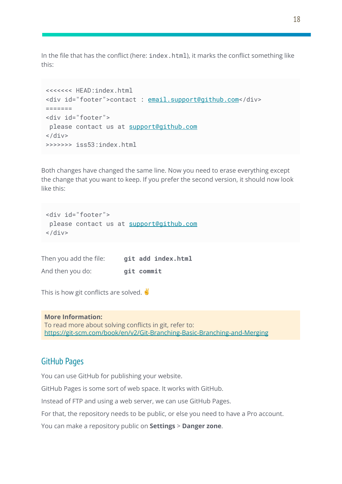In the file that has the conflict (here: index.html), it marks the conflict something like this:

```
<<<<<<< HEAD:index.html
<div id="footer">contact : email.support@github.com</div>
=======
<div id="footer">
please contact us at support@github.com
\langlediv>>>>>>>> iss53:index.html
```
Both changes have changed the same line. Now you need to erase everything except the change that you want to keep. If you prefer the second version, it should now look like this:

```
<div id="footer">
please contact us at support@github.com
\langlediv>
```
Then you add the file: **git add index.html** And then you do: **git commit**

This is how git conflicts are solved.  $\blacklozenge$ 

**More Information:** To read more about solving conflicts in git, refer to: <https://git-scm.com/book/en/v2/Git-Branching-Basic-Branching-and-Merging>

## GitHub Pages

You can use GitHub for publishing your website.

GitHub Pages is some sort of web space. It works with GitHub.

Instead of FTP and using a web server, we can use GitHub Pages.

For that, the repository needs to be public, or else you need to have a Pro account.

You can make a repository public on **Settings** > **Danger zone**.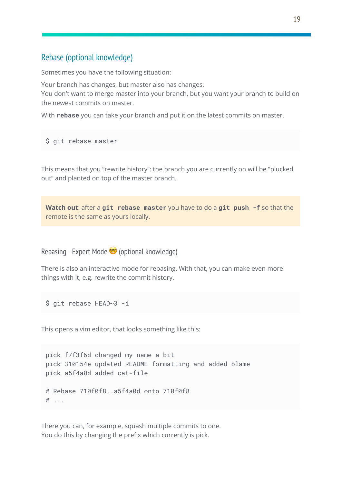## Rebase (optional knowledge)

Sometimes you have the following situation:

Your branch has changes, but master also has changes.

You don't want to merge master into your branch, but you want your branch to build on the newest commits on master.

With **rebase** you can take your branch and put it on the latest commits on master.

```
$ git rebase master
```
This means that you "rewrite history": the branch you are currently on will be "plucked out" and planted on top of the master branch.

**Watch out**: after a **git rebase master** you have to do a **git push -f** so that the remote is the same as yours locally.

Rebasing - Expert Mode <sup>o</sup> (optional knowledge)

There is also an interactive mode for rebasing. With that, you can make even more things with it, e.g. rewrite the commit history.

\$ git rebase HEAD~3 -i

This opens a vim editor, that looks something like this:

pick f7f3f6d changed my name a bit pick 310154e updated README formatting and added blame pick a5f4a0d added cat-file # Rebase 710f0f8..a5f4a0d onto 710f0f8 # ...

There you can, for example, squash multiple commits to one. You do this by changing the prefix which currently is pick.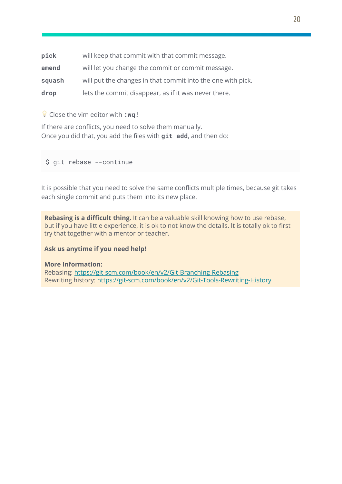| pick   | will keep that commit with that commit message.             |
|--------|-------------------------------------------------------------|
| amend  | will let you change the commit or commit message.           |
| squash | will put the changes in that commit into the one with pick. |
| drop   | lets the commit disappear, as if it was never there.        |

Close the vim editor with **:wq!**

If there are conflicts, you need to solve them manually. Once you did that, you add the files with **git add**, and then do:

\$ git rebase --continue

It is possible that you need to solve the same conflicts multiple times, because git takes each single commit and puts them into its new place.

**Rebasing is a difficult thing.** It can be a valuable skill knowing how to use rebase, but if you have little experience, it is ok to not know the details. It is totally ok to first try that together with a mentor or teacher.

#### **Ask us anytime if you need help!**

#### **More Information:**

Rebasing: <https://git-scm.com/book/en/v2/Git-Branching-Rebasing> Rewriting history: <https://git-scm.com/book/en/v2/Git-Tools-Rewriting-History>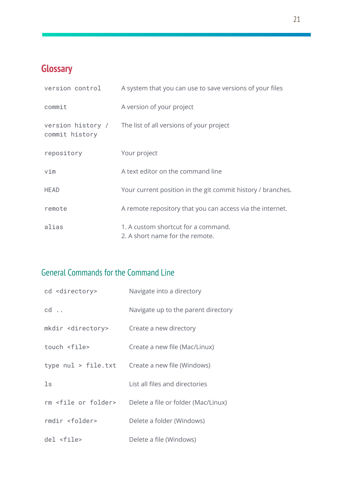# **Glossary**

| version control                     | A system that you can use to save versions of your files               |
|-------------------------------------|------------------------------------------------------------------------|
| commit                              | A version of your project                                              |
| version history /<br>commit history | The list of all versions of your project                               |
| repository                          | Your project                                                           |
| vim                                 | A text editor on the command line                                      |
| <b>HEAD</b>                         | Your current position in the git commit history / branches.            |
| remote                              | A remote repository that you can access via the internet.              |
| alias                               | 1. A custom shortcut for a command.<br>2. A short name for the remote. |

# General Commands for the Command Line

| cd <directory></directory>       | Navigate into a directory           |
|----------------------------------|-------------------------------------|
| $cd \ldots$                      | Navigate up to the parent directory |
| mkdir <directory></directory>    | Create a new directory              |
| touch <file></file>              | Create a new file (Mac/Linux)       |
| type nul > file.txt              | Create a new file (Windows)         |
| $\operatorname{\mathsf{ls}}$     | List all files and directories      |
| rm <file folder="" or=""></file> | Delete a file or folder (Mac/Linux) |
| rmdir <folder></folder>          | Delete a folder (Windows)           |
| $del$ <file></file>              | Delete a file (Windows)             |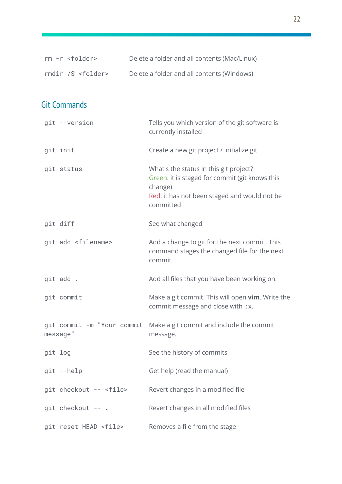| $rm -r$ <folder></folder>              | Delete a folder and all contents (Mac/Linux)                                                                                                                     |
|----------------------------------------|------------------------------------------------------------------------------------------------------------------------------------------------------------------|
| rmdir /S <folder></folder>             | Delete a folder and all contents (Windows)                                                                                                                       |
|                                        |                                                                                                                                                                  |
| <b>Git Commands</b>                    |                                                                                                                                                                  |
| git --version                          | Tells you which version of the git software is<br>currently installed                                                                                            |
| git init                               | Create a new git project / initialize git                                                                                                                        |
| git status                             | What's the status in this git project?<br>Green: it is staged for commit (git knows this<br>change)<br>Red: it has not been staged and would not be<br>committed |
| git diff                               | See what changed                                                                                                                                                 |
| git add <filename></filename>          | Add a change to git for the next commit. This<br>command stages the changed file for the next<br>commit.                                                         |
| git add.                               | Add all files that you have been working on.                                                                                                                     |
| git commit                             | Make a git commit. This will open vim. Write the<br>commit message and close with :x.                                                                            |
| git commit -m "Your commit<br>message" | Make a git commit and include the commit<br>message.                                                                                                             |
| git log                                | See the history of commits                                                                                                                                       |
| git --help                             | Get help (read the manual)                                                                                                                                       |
| git checkout -- <file></file>          | Revert changes in a modified file                                                                                                                                |
| git checkout -- .                      | Revert changes in all modified files                                                                                                                             |
| git reset HEAD <file></file>           | Removes a file from the stage                                                                                                                                    |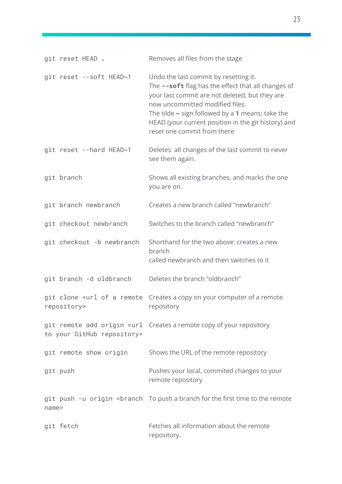| git reset HEAD.            | Removes all files from the stage                                                                                                                                                                                                                                                                                                |
|----------------------------|---------------------------------------------------------------------------------------------------------------------------------------------------------------------------------------------------------------------------------------------------------------------------------------------------------------------------------|
| git reset --soft HEAD~1    | Undo the last commit by resetting it.<br>The --soft flag has the effect that all changes of<br>your last commit are not deleted, but they are<br>now uncommitted modified files.<br>The tilde $\sim$ sign followed by a 1 means: take the<br>HEAD (your current position in the git history) and<br>reset one commit from there |
| git reset --hard HEAD~1    | Deletes all changes of the last commit to never<br>see them again.                                                                                                                                                                                                                                                              |
| git branch                 | Shows all existing branches, and marks the one<br>you are on.                                                                                                                                                                                                                                                                   |
| git branch newbranch       | Creates a new branch called "newbranch"                                                                                                                                                                                                                                                                                         |
| git checkout newbranch     | Switches to the branch called "newbranch"                                                                                                                                                                                                                                                                                       |
| git checkout -b newbranch  | Shorthand for the two above: creates a new<br>branch<br>called newbranch and then switches to it                                                                                                                                                                                                                                |
| git branch -d oldbranch    | Deletes the branch "oldbranch"                                                                                                                                                                                                                                                                                                  |
| repository>                | git clone <url a="" computer="" copy="" creates="" of="" on="" remote="" remote<br="" your="">repository</url>                                                                                                                                                                                                                  |
| to your GitHub repository> | git remote add origin <url a="" copy="" creates="" of="" remote="" repository<="" td="" your=""></url>                                                                                                                                                                                                                          |
| git remote show origin     | Shows the URL of the remote repository                                                                                                                                                                                                                                                                                          |
| git push                   | Pushes your local, commited changes to your<br>remote repository                                                                                                                                                                                                                                                                |
| name>                      | git push -u origin <branch a="" branch="" first="" for="" push="" remote<="" td="" the="" time="" to=""></branch>                                                                                                                                                                                                               |
| git fetch                  | Fetches all information about the remote<br>repository.                                                                                                                                                                                                                                                                         |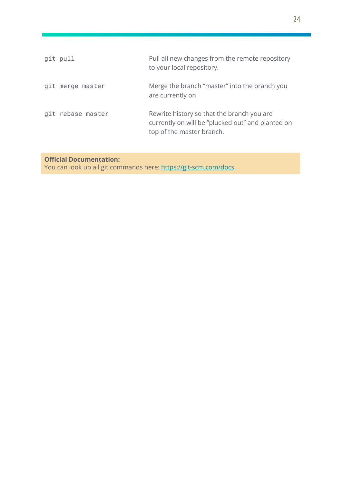| git pull          | Pull all new changes from the remote repository<br>to your local repository.                                                 |
|-------------------|------------------------------------------------------------------------------------------------------------------------------|
| git merge master  | Merge the branch "master" into the branch you<br>are currently on                                                            |
| git rebase master | Rewrite history so that the branch you are<br>currently on will be "plucked out" and planted on<br>top of the master branch. |

## **Official Documentation:**

You can look up all git commands here: <https://git-scm.com/docs>